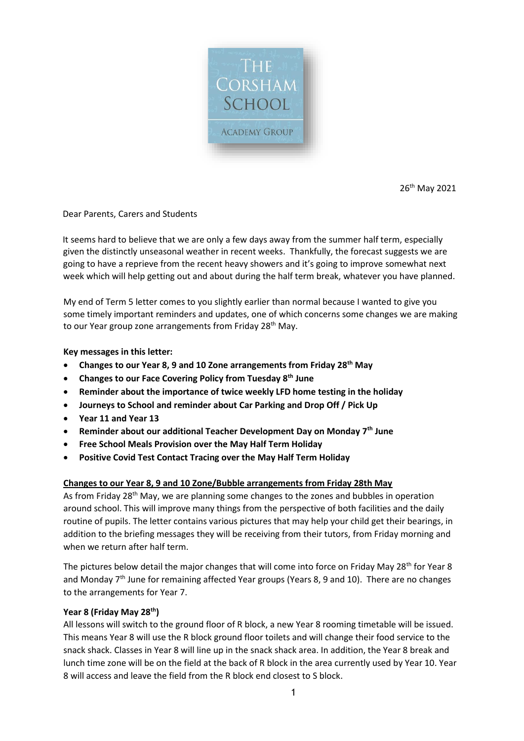

26th May 2021

## Dear Parents, Carers and Students

It seems hard to believe that we are only a few days away from the summer half term, especially given the distinctly unseasonal weather in recent weeks. Thankfully, the forecast suggests we are going to have a reprieve from the recent heavy showers and it's going to improve somewhat next week which will help getting out and about during the half term break, whatever you have planned.

My end of Term 5 letter comes to you slightly earlier than normal because I wanted to give you some timely important reminders and updates, one of which concerns some changes we are making to our Year group zone arrangements from Friday 28<sup>th</sup> May.

## **Key messages in this letter:**

- **Changes to our Year 8, 9 and 10 Zone arrangements from Friday 28th May**
- **Changes to our Face Covering Policy from Tuesday 8th June**
- **Reminder about the importance of twice weekly LFD home testing in the holiday**
- **Journeys to School and reminder about Car Parking and Drop Off / Pick Up**
- **Year 11 and Year 13**
- **Reminder about our additional Teacher Development Day on Monday 7th June**
- **Free School Meals Provision over the May Half Term Holiday**
- **Positive Covid Test Contact Tracing over the May Half Term Holiday**

### **Changes to our Year 8, 9 and 10 Zone/Bubble arrangements from Friday 28th May**

As from Friday 28<sup>th</sup> May, we are planning some changes to the zones and bubbles in operation around school. This will improve many things from the perspective of both facilities and the daily routine of pupils. The letter contains various pictures that may help your child get their bearings, in addition to the briefing messages they will be receiving from their tutors, from Friday morning and when we return after half term.

The pictures below detail the major changes that will come into force on Friday May 28<sup>th</sup> for Year 8 and Monday  $7<sup>th</sup>$  June for remaining affected Year groups (Years 8, 9 and 10). There are no changes to the arrangements for Year 7.

### **Year 8 (Friday May 28th)**

All lessons will switch to the ground floor of R block, a new Year 8 rooming timetable will be issued. This means Year 8 will use the R block ground floor toilets and will change their food service to the snack shack. Classes in Year 8 will line up in the snack shack area. In addition, the Year 8 break and lunch time zone will be on the field at the back of R block in the area currently used by Year 10. Year 8 will access and leave the field from the R block end closest to S block.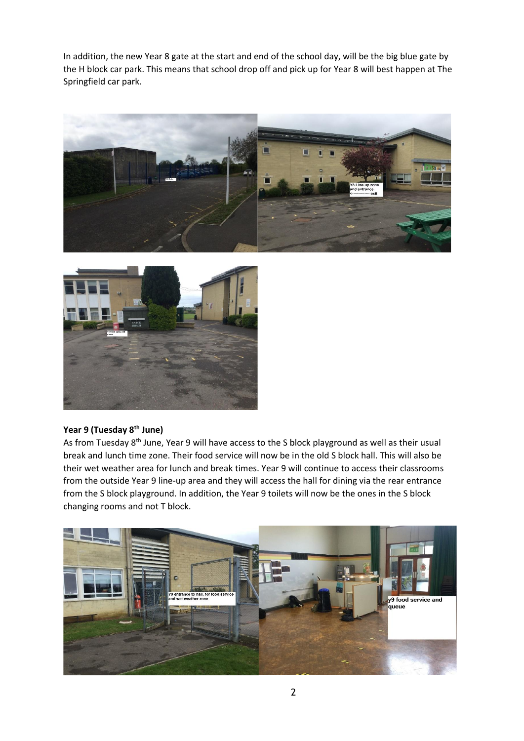In addition, the new Year 8 gate at the start and end of the school day, will be the big blue gate by the H block car park. This means that school drop off and pick up for Year 8 will best happen at The Springfield car park.





# **Year 9 (Tuesday 8th June)**

As from Tuesday 8<sup>th</sup> June, Year 9 will have access to the S block playground as well as their usual break and lunch time zone. Their food service will now be in the old S block hall. This will also be their wet weather area for lunch and break times. Year 9 will continue to access their classrooms from the outside Year 9 line-up area and they will access the hall for dining via the rear entrance from the S block playground. In addition, the Year 9 toilets will now be the ones in the S block changing rooms and not T block.

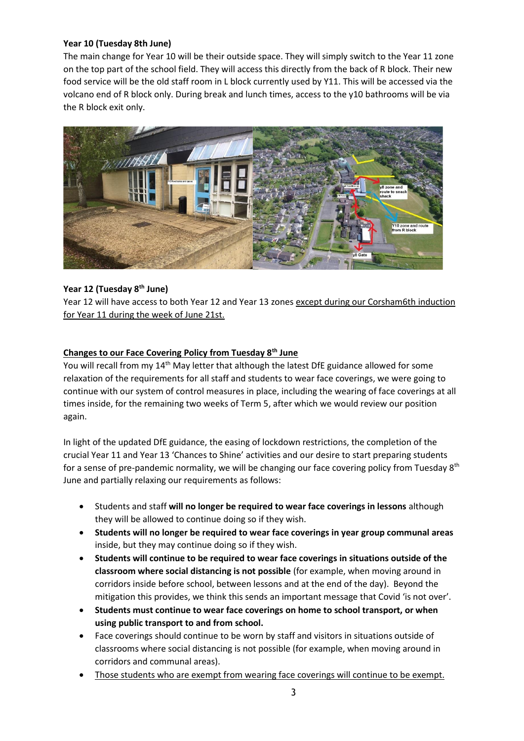## **Year 10 (Tuesday 8th June)**

The main change for Year 10 will be their outside space. They will simply switch to the Year 11 zone on the top part of the school field. They will access this directly from the back of R block. Their new food service will be the old staff room in L block currently used by Y11. This will be accessed via the volcano end of R block only. During break and lunch times, access to the y10 bathrooms will be via the R block exit only.



## **Year 12 (Tuesday 8th June)**

Year 12 will have access to both Year 12 and Year 13 zones except during our Corsham6th induction for Year 11 during the week of June 21st.

## **Changes to our Face Covering Policy from Tuesday 8th June**

You will recall from my  $14<sup>th</sup>$  May letter that although the latest DfE guidance allowed for some relaxation of the requirements for all staff and students to wear face coverings, we were going to continue with our system of control measures in place, including the wearing of face coverings at all times inside, for the remaining two weeks of Term 5, after which we would review our position again.

In light of the updated DfE guidance, the easing of lockdown restrictions, the completion of the crucial Year 11 and Year 13 'Chances to Shine' activities and our desire to start preparing students for a sense of pre-pandemic normality, we will be changing our face covering policy from Tuesday  $8<sup>th</sup>$ June and partially relaxing our requirements as follows:

- Students and staff **will no longer be required to wear face coverings in lessons** although they will be allowed to continue doing so if they wish.
- **Students will no longer be required to wear face coverings in year group communal areas** inside, but they may continue doing so if they wish.
- **Students will continue to be required to wear face coverings in situations outside of the classroom where social distancing is not possible** (for example, when moving around in corridors inside before school, between lessons and at the end of the day). Beyond the mitigation this provides, we think this sends an important message that Covid 'is not over'.
- **Students must continue to wear face coverings on home to school transport, or when using public transport to and from school.**
- Face coverings should continue to be worn by staff and visitors in situations outside of classrooms where social distancing is not possible (for example, when moving around in corridors and communal areas).
- Those students who are exempt from wearing face coverings will continue to be exempt.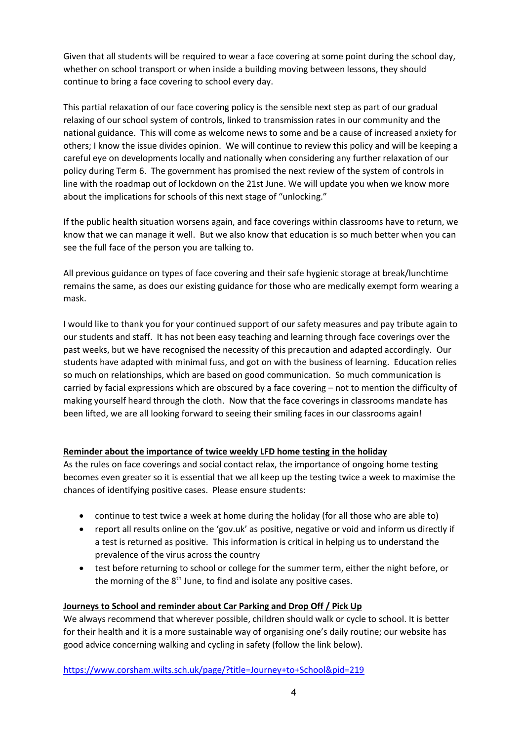Given that all students will be required to wear a face covering at some point during the school day, whether on school transport or when inside a building moving between lessons, they should continue to bring a face covering to school every day.

This partial relaxation of our face covering policy is the sensible next step as part of our gradual relaxing of our school system of controls, linked to transmission rates in our community and the national guidance. This will come as welcome news to some and be a cause of increased anxiety for others; I know the issue divides opinion. We will continue to review this policy and will be keeping a careful eye on developments locally and nationally when considering any further relaxation of our policy during Term 6. The government has promised the next review of the system of controls in line with the roadmap out of lockdown on the 21st June. We will update you when we know more about the implications for schools of this next stage of "unlocking."

If the public health situation worsens again, and face coverings within classrooms have to return, we know that we can manage it well. But we also know that education is so much better when you can see the full face of the person you are talking to.

All previous guidance on types of face covering and their safe hygienic storage at break/lunchtime remains the same, as does our existing guidance for those who are medically exempt form wearing a mask.

I would like to thank you for your continued support of our safety measures and pay tribute again to our students and staff. It has not been easy teaching and learning through face coverings over the past weeks, but we have recognised the necessity of this precaution and adapted accordingly. Our students have adapted with minimal fuss, and got on with the business of learning. Education relies so much on relationships, which are based on good communication. So much communication is carried by facial expressions which are obscured by a face covering – not to mention the difficulty of making yourself heard through the cloth. Now that the face coverings in classrooms mandate has been lifted, we are all looking forward to seeing their smiling faces in our classrooms again!

## **Reminder about the importance of twice weekly LFD home testing in the holiday**

As the rules on face coverings and social contact relax, the importance of ongoing home testing becomes even greater so it is essential that we all keep up the testing twice a week to maximise the chances of identifying positive cases. Please ensure students:

- continue to test twice a week at home during the holiday (for all those who are able to)
- report all results online on the 'gov.uk' as positive, negative or void and inform us directly if a test is returned as positive. This information is critical in helping us to understand the prevalence of the virus across the country
- test before returning to school or college for the summer term, either the night before, or the morning of the  $8<sup>th</sup>$  June, to find and isolate any positive cases.

## **Journeys to School and reminder about Car Parking and Drop Off / Pick Up**

We always recommend that wherever possible, children should walk or cycle to school. It is better for their health and it is a more sustainable way of organising one's daily routine; our website has good advice concerning walking and cycling in safety (follow the link below).

<https://www.corsham.wilts.sch.uk/page/?title=Journey+to+School&pid=219>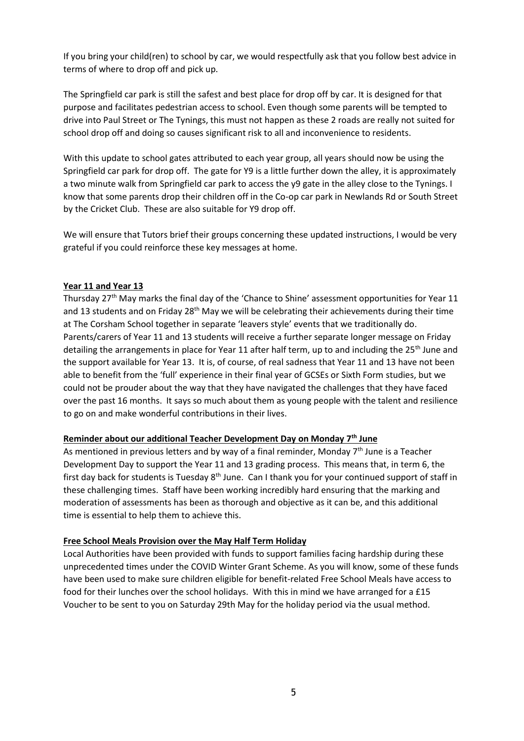If you bring your child(ren) to school by car, we would respectfully ask that you follow best advice in terms of where to drop off and pick up.

The Springfield car park is still the safest and best place for drop off by car. It is designed for that purpose and facilitates pedestrian access to school. Even though some parents will be tempted to drive into Paul Street or The Tynings, this must not happen as these 2 roads are really not suited for school drop off and doing so causes significant risk to all and inconvenience to residents.

With this update to school gates attributed to each year group, all years should now be using the Springfield car park for drop off. The gate for Y9 is a little further down the alley, it is approximately a two minute walk from Springfield car park to access the y9 gate in the alley close to the Tynings. I know that some parents drop their children off in the Co-op car park in Newlands Rd or South Street by the Cricket Club. These are also suitable for Y9 drop off.

We will ensure that Tutors brief their groups concerning these updated instructions, I would be very grateful if you could reinforce these key messages at home.

## **Year 11 and Year 13**

Thursday  $27<sup>th</sup>$  May marks the final day of the 'Chance to Shine' assessment opportunities for Year 11 and 13 students and on Friday 28<sup>th</sup> May we will be celebrating their achievements during their time at The Corsham School together in separate 'leavers style' events that we traditionally do. Parents/carers of Year 11 and 13 students will receive a further separate longer message on Friday detailing the arrangements in place for Year 11 after half term, up to and including the 25<sup>th</sup> June and the support available for Year 13. It is, of course, of real sadness that Year 11 and 13 have not been able to benefit from the 'full' experience in their final year of GCSEs or Sixth Form studies, but we could not be prouder about the way that they have navigated the challenges that they have faced over the past 16 months. It says so much about them as young people with the talent and resilience to go on and make wonderful contributions in their lives.

### **Reminder about our additional Teacher Development Day on Monday 7th June**

As mentioned in previous letters and by way of a final reminder, Monday  $7<sup>th</sup>$  June is a Teacher Development Day to support the Year 11 and 13 grading process. This means that, in term 6, the first day back for students is Tuesday 8<sup>th</sup> June. Can I thank you for your continued support of staff in these challenging times. Staff have been working incredibly hard ensuring that the marking and moderation of assessments has been as thorough and objective as it can be, and this additional time is essential to help them to achieve this.

### **Free School Meals Provision over the May Half Term Holiday**

Local Authorities have been provided with funds to support families facing hardship during these unprecedented times under the COVID Winter Grant Scheme. As you will know, some of these funds have been used to make sure children eligible for benefit-related Free School Meals have access to food for their lunches over the school holidays. With this in mind we have arranged for a £15 Voucher to be sent to you on Saturday 29th May for the holiday period via the usual method.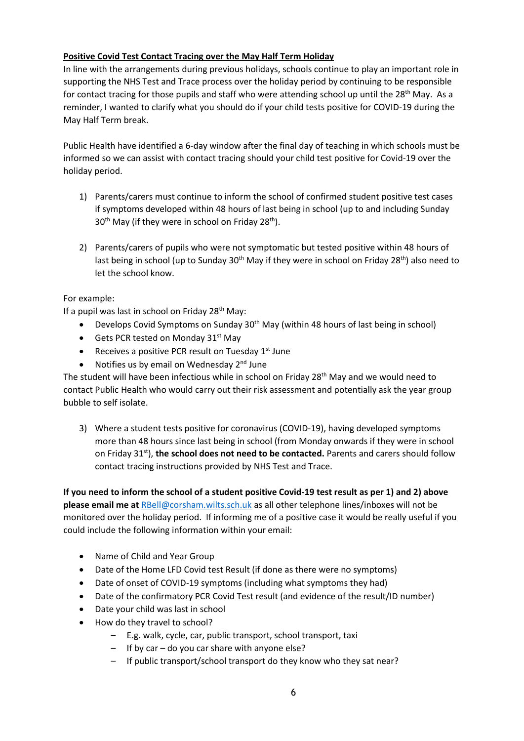# **Positive Covid Test Contact Tracing over the May Half Term Holiday**

In line with the arrangements during previous holidays, schools continue to play an important role in supporting the NHS Test and Trace process over the holiday period by continuing to be responsible for contact tracing for those pupils and staff who were attending school up until the  $28^{th}$  May. As a reminder, I wanted to clarify what you should do if your child tests positive for COVID-19 during the May Half Term break.

Public Health have identified a 6-day window after the final day of teaching in which schools must be informed so we can assist with contact tracing should your child test positive for Covid-19 over the holiday period.

- 1) Parents/carers must continue to inform the school of confirmed student positive test cases if symptoms developed within 48 hours of last being in school (up to and including Sunday  $30<sup>th</sup>$  May (if they were in school on Friday 28<sup>th</sup>).
- 2) Parents/carers of pupils who were not symptomatic but tested positive within 48 hours of last being in school (up to Sunday 30<sup>th</sup> May if they were in school on Friday 28<sup>th</sup>) also need to let the school know.

For example:

If a pupil was last in school on Friday  $28<sup>th</sup>$  May:

- Develops Covid Symptoms on Sunday 30<sup>th</sup> May (within 48 hours of last being in school)
- Gets PCR tested on Monday  $31<sup>st</sup>$  May
- Receives a positive PCR result on Tuesday  $1<sup>st</sup>$  June
- Notifies us by email on Wednesday 2<sup>nd</sup> June

The student will have been infectious while in school on Friday 28<sup>th</sup> May and we would need to contact Public Health who would carry out their risk assessment and potentially ask the year group bubble to self isolate.

3) Where a student tests positive for coronavirus (COVID-19), having developed symptoms more than 48 hours since last being in school (from Monday onwards if they were in school on Friday 31st), **the school does not need to be contacted.** Parents and carers should follow contact tracing instructions provided by NHS Test and Trace.

**If you need to inform the school of a student positive Covid-19 test result as per 1) and 2) above please email me at** [RBell@corsham.wilts.sch.uk](mailto:RBell@corsham.wilts.sch.uk) as all other telephone lines/inboxes will not be monitored over the holiday period. If informing me of a positive case it would be really useful if you could include the following information within your email:

- Name of Child and Year Group
- Date of the Home LFD Covid test Result (if done as there were no symptoms)
- Date of onset of COVID-19 symptoms (including what symptoms they had)
- Date of the confirmatory PCR Covid Test result (and evidence of the result/ID number)
- Date your child was last in school
- How do they travel to school?
	- E.g. walk, cycle, car, public transport, school transport, taxi
	- $-$  If by car do you car share with anyone else?
	- If public transport/school transport do they know who they sat near?